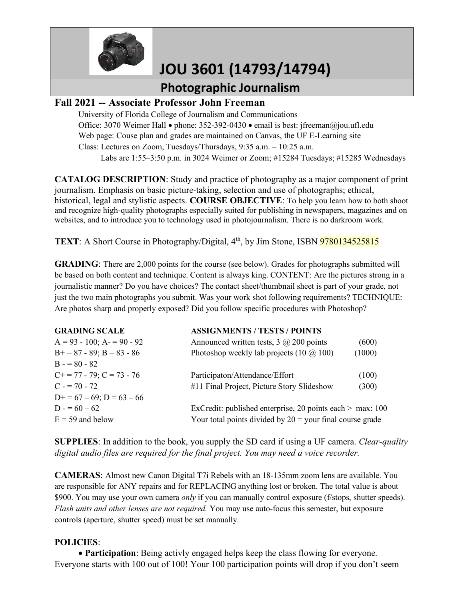

# **JOU 3601 (14793/14794)**

#### **Photographic Journalism**

#### **Fall 2021 -- Associate Professor John Freeman**

University of Florida College of Journalism and Communications Office: 3070 Weimer Hall • phone: 352-392-0430 • email is best: jfreeman@jou.ufl.edu Web page: Couse plan and grades are maintained on Canvas, the UF E-Learning site Class: Lectures on Zoom, Tuesdays/Thursdays, 9:35 a.m. – 10:25 a.m. Labs are 1:55–3:50 p.m. in 3024 Weimer or Zoom; #15284 Tuesdays; #15285 Wednesdays

**CATALOG DESCRIPTION**: Study and practice of photography as a major component of print journalism. Emphasis on basic picture-taking, selection and use of photographs; ethical, historical, legal and stylistic aspects. **COURSE OBJECTIVE**: To help you learn how to both shoot and recognize high-quality photographs especially suited for publishing in newspapers, magazines and on websites, and to introduce you to technology used in photojournalism. There is no darkroom work.

**TEXT**: A Short Course in Photography/Digital, 4<sup>th</sup>, by Jim Stone, ISBN 9780134525815

**GRADING**: There are 2,000 points for the course (see below). Grades for photographs submitted will be based on both content and technique. Content is always king. CONTENT: Are the pictures strong in a journalistic manner? Do you have choices? The contact sheet/thumbnail sheet is part of your grade, not just the two main photographs you submit. Was your work shot following requirements? TECHNIQUE: Are photos sharp and properly exposed? Did you follow specific procedures with Photoshop?

| <b>GRADING SCALE</b>             | <b>ASSIGNMENTS / TESTS / POINTS</b>                         |        |
|----------------------------------|-------------------------------------------------------------|--------|
| $A = 93 - 100$ ; $A = 90 - 92$   | Announced written tests, $3 \omega$ 200 points              | (600)  |
| $B+=87-89$ ; $B=83-86$           | Photoshop weekly lab projects $(10 \omega 100)$             | (1000) |
| $B = 80 - 82$                    |                                                             |        |
| $C_{+}$ = 77 - 79; $C$ = 73 - 76 | Participaton/Attendance/Effort                              | (100)  |
| $C = 70 - 72$                    | #11 Final Project, Picture Story Slideshow                  | (300)  |
| $D+=67-69$ ; $D=63-66$           |                                                             |        |
| $D = 60 - 62$                    | ExCredit: published enterprise, 20 points each $>$ max: 100 |        |
| $E = 59$ and below               | Your total points divided by $20 =$ your final course grade |        |
|                                  |                                                             |        |

**SUPPLIES**: In addition to the book, you supply the SD card if using a UF camera. *Clear-quality digital audio files are required for the final project. You may need a voice recorder.*

**CAMERAS**: Almost new Canon Digital T7i Rebels with an 18-135mm zoom lens are available. You are responsible for ANY repairs and for REPLACING anything lost or broken. The total value is about \$900. You may use your own camera *only* if you can manually control exposure (f/stops, shutter speeds). *Flash units and other lenses are not required.* You may use auto-focus this semester, but exposure controls (aperture, shutter speed) must be set manually.

#### **POLICIES**:

• **Participation**: Being activly engaged helps keep the class flowing for everyone. Everyone starts with 100 out of 100! Your 100 participation points will drop if you don't seem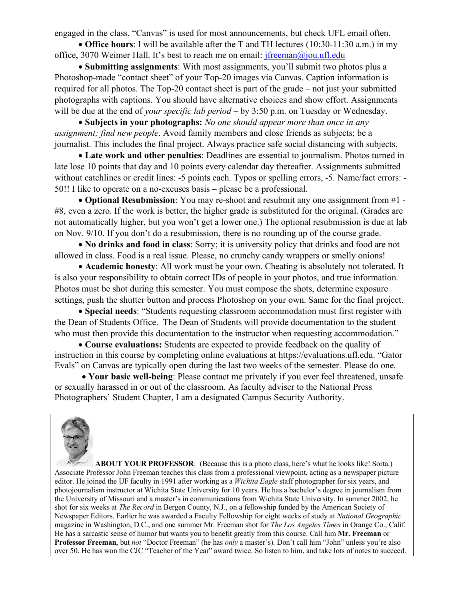engaged in the class. "Canvas" is used for most announcements, but check UFL email often.

• **Office hours**: I will be available after the T and TH lectures (10:30-11:30 a.m.) in my office, 3070 Weimer Hall. It's best to reach me on email: jfreeman@jou.ufl.edu

• **Submitting assignments**: With most assignments, you'll submit two photos plus a Photoshop-made "contact sheet" of your Top-20 images via Canvas. Caption information is required for all photos. The Top-20 contact sheet is part of the grade *–* not just your submitted photographs with captions. You should have alternative choices and show effort. Assignments will be due at the end of *your specific lab period* – by 3:50 p.m. on Tuesday or Wednesday.

• **Subjects in your photographs:** *No one should appear more than once in any assignment; find new people*. Avoid family members and close friends as subjects; be a journalist. This includes the final project. Always practice safe social distancing with subjects.

• **Late work and other penalties**: Deadlines are essential to journalism. Photos turned in late lose 10 points that day and 10 points every calendar day thereafter. Assignments submitted without catchlines or credit lines: -5 points each. Typos or spelling errors, -5. Name/fact errors: -50!! I like to operate on a no-excuses basis – please be a professional.

• **Optional Resubmission**: You may re-shoot and resubmit any one assignment from #1 - #8, even a zero. If the work is better, the higher grade is substituted for the original. (Grades are not automatically higher, but you won't get a lower one.) The optional resubmission is due at lab on Nov. 9/10. If you don't do a resubmission, there is no rounding up of the course grade.

• **No drinks and food in class**: Sorry; it is university policy that drinks and food are not allowed in class. Food is a real issue. Please, no crunchy candy wrappers or smelly onions!

• **Academic honesty**: All work must be your own. Cheating is absolutely not tolerated. It is also your responsibility to obtain correct IDs of people in your photos, and true information. Photos must be shot during this semester. You must compose the shots, determine exposure settings, push the shutter button and process Photoshop on your own. Same for the final project.

• **Special needs**: "Students requesting classroom accommodation must first register with the Dean of Students Office. The Dean of Students will provide documentation to the student who must then provide this documentation to the instructor when requesting accommodation."

• **Course evaluations:** Students are expected to provide feedback on the quality of instruction in this course by completing online evaluations at https://evaluations.ufl.edu. "Gator Evals" on Canvas are typically open during the last two weeks of the semester. Please do one.

 • **Your basic well-being**: Please contact me privately if you ever feel threatened, unsafe or sexually harassed in or out of the classroom. As faculty adviser to the National Press Photographers' Student Chapter, I am a designated Campus Security Authority.



 **ABOUT YOUR PROFESSOR**: (Because this is a photo class, here's what he looks like! Sorta.) Associate Professor John Freeman teaches this class from a professional viewpoint, acting as a newspaper picture editor. He joined the UF faculty in 1991 after working as a *Wichita Eagle* staff photographer for six years, and photojournalism instructor at Wichita State University for 10 years. He has a bachelor's degree in journalism from the University of Missouri and a master's in communications from Wichita State University. In summer 2002, he shot for six weeks at *The Record* in Bergen County, N.J., on a fellowship funded by the American Society of Newspaper Editors. Earlier he was awarded a Faculty Fellowship for eight weeks of study at *National Geographic*  magazine in Washington, D.C., and one summer Mr. Freeman shot for *The Los Angeles Times* in Orange Co., Calif. He has a sarcastic sense of humor but wants you to benefit greatly from this course. Call him **Mr. Freeman** or **Professor Freeman**, but *not* "Doctor Freeman" (he has *only* a master's). Don't call him "John" unless you're also over 50. He has won the CJC "Teacher of the Year" award twice. So listen to him, and take lots of notes to succeed.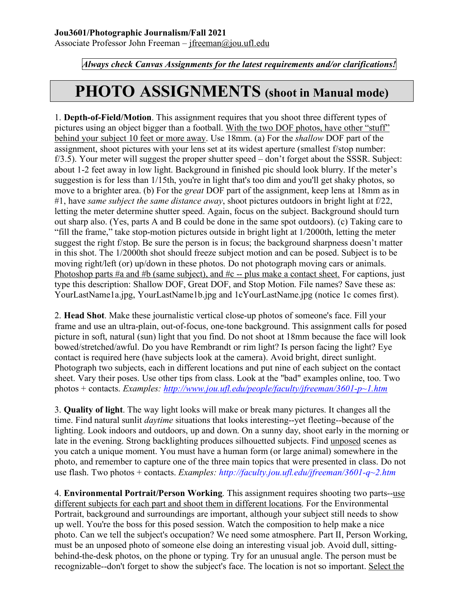Associate Professor John Freeman – [jfreeman@jou.ufl.edu](mailto:jfreeman@jou.ufl.edu)

*Always check Canvas Assignments for the latest requirements and/or clarifications!*

### **PHOTO ASSIGNMENTS (shoot in Manual mode)**

1. **Depth-of-Field/Motion**. This assignment requires that you shoot three different types of pictures using an object bigger than a football. With the two DOF photos, have other "stuff" behind your subject 10 feet or more away. Use 18mm. (a) For the *shallow* DOF part of the assignment, shoot pictures with your lens set at its widest aperture (smallest f/stop number:  $f(3.5)$ . Your meter will suggest the proper shutter speed  $-\text{don't forget about the SSSR. Subject:}$ about 1-2 feet away in low light. Background in finished pic should look blurry. If the meter's suggestion is for less than 1/15th, you're in light that's too dim and you'll get shaky photos, so move to a brighter area. (b) For the *great* DOF part of the assignment, keep lens at 18mm as in #1, have *same subject the same distance away*, shoot pictures outdoors in bright light at f/22, letting the meter determine shutter speed. Again, focus on the subject. Background should turn out sharp also. (Yes, parts A and B could be done in the same spot outdoors). (c) Taking care to "fill the frame," take stop-motion pictures outside in bright light at 1/2000th, letting the meter suggest the right f/stop. Be sure the person is in focus; the background sharpness doesn't matter in this shot. The 1/2000th shot should freeze subject motion and can be posed. Subject is to be moving right/left (or) up/down in these photos. Do not photograph moving cars or animals. Photoshop parts #a and #b (same subject), and #c -- plus make a contact sheet. For captions, just type this description: Shallow DOF, Great DOF, and Stop Motion. File names? Save these as: YourLastName1a.jpg, YourLastName1b.jpg and 1cYourLastName.jpg (notice 1c comes first).

2. **Head Shot**. Make these journalistic vertical close-up photos of someone's face. Fill your frame and use an ultra-plain, out-of-focus, one-tone background. This assignment calls for posed picture in soft, natural (sun) light that you find. Do not shoot at 18mm because the face will look bowed/stretched/awful. Do you have Rembrandt or rim light? Is person facing the light? Eye contact is required here (have subjects look at the camera). Avoid bright, direct sunlight. Photograph two subjects, each in different locations and put nine of each subject on the contact sheet. Vary their poses. Use other tips from class. Look at the "bad" examples online, too. Two photos + contacts. *Examples: [http://www.jou.ufl.edu/people/faculty/jfreeman/3601-p~1.htm](http://www.jou.ufl.edu/people/faculty/jfreeman/3601-p%7E1.htm)*

3. **Quality of light**. The way light looks will make or break many pictures. It changes all the time. Find natural sunlit *daytime* situations that looks interesting--yet fleeting--because of the lighting. Look indoors and outdoors, up and down. On a sunny day, shoot early in the morning or late in the evening. Strong backlighting produces silhouetted subjects. Find unposed scenes as you catch a unique moment. You must have a human form (or large animal) somewhere in the photo, and remember to capture one of the three main topics that were presented in class. Do not use flash. Two photos + contacts. *Examples: http://faculty.jou.ufl.edu/jfreeman/3601-q~2.htm*

4. **Environmental Portrait/Person Working**. This assignment requires shooting two parts--use different subjects for each part and shoot them in different locations. For the Environmental Portrait, background and surroundings are important, although your subject still needs to show up well. You're the boss for this posed session. Watch the composition to help make a nice photo. Can we tell the subject's occupation? We need some atmosphere. Part II, Person Working, must be an unposed photo of someone else doing an interesting visual job. Avoid dull, sittingbehind-the-desk photos, on the phone or typing. Try for an unusual angle. The person must be recognizable--don't forget to show the subject's face. The location is not so important. Select the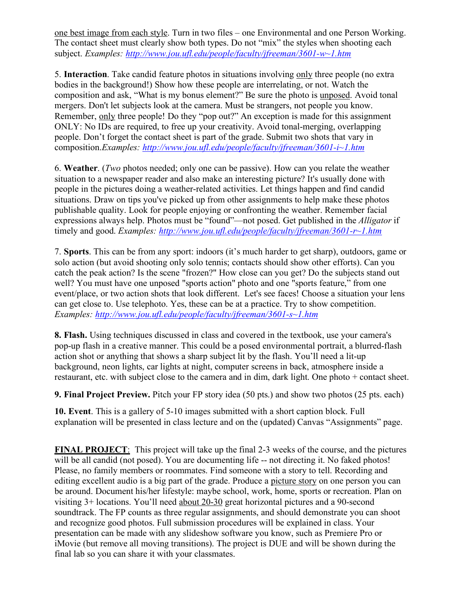one best image from each style. Turn in two files – one Environmental and one Person Working. The contact sheet must clearly show both types. Do not "mix" the styles when shooting each subject. *Examples: [http://www.jou.ufl.edu/people/faculty/jfreeman/3601-w~1.htm](http://www.jou.ufl.edu/people/faculty/jfreeman/3601-w%7E1.htm)*

5. **Interaction**. Take candid feature photos in situations involving only three people (no extra bodies in the background!) Show how these people are interrelating, or not. Watch the composition and ask, "What is my bonus element?" Be sure the photo is unposed. Avoid tonal mergers. Don't let subjects look at the camera. Must be strangers, not people you know. Remember, only three people! Do they "pop out?" An exception is made for this assignment ONLY: No IDs are required, to free up your creativity. Avoid tonal-merging, overlapping people. Don't forget the contact sheet is part of the grade. Submit two shots that vary in composition.*Examples: [http://www.jou.ufl.edu/people/faculty/jfreeman/3601-i~1.htm](http://www.jou.ufl.edu/people/faculty/jfreeman/3601-i%7E1.htm)*

6. **Weather**. (*Two* photos needed; only one can be passive). How can you relate the weather situation to a newspaper reader and also make an interesting picture? It's usually done with people in the pictures doing a weather-related activities. Let things happen and find candid situations. Draw on tips you've picked up from other assignments to help make these photos publishable quality. Look for people enjoying or confronting the weather. Remember facial expressions always help. Photos must be "found"—not posed. Get published in the *Alligator* if timely and good. *Examples: [http://www.jou.ufl.edu/people/faculty/jfreeman/3601-r~1.htm](http://www.jou.ufl.edu/people/faculty/jfreeman/3601-r%7E1.htm)*

7. **Sports**. This can be from any sport: indoors (it's much harder to get sharp), outdoors, game or solo action (but avoid shooting only solo tennis; contacts should show other efforts). Can you catch the peak action? Is the scene "frozen?" How close can you get? Do the subjects stand out well? You must have one unposed "sports action" photo and one "sports feature," from one event/place, or two action shots that look different. Let's see faces! Choose a situation your lens can get close to. Use telephoto. Yes, these can be at a practice. Try to show competition. *Examples: [http://www.jou.ufl.edu/people/faculty/jfreeman/3601-s~1.htm](http://www.jou.ufl.edu/people/faculty/jfreeman/3601-s%7E1.htm)*

**8. Flash.** Using techniques discussed in class and covered in the textbook, use your camera's pop-up flash in a creative manner. This could be a posed environmental portrait, a blurred-flash action shot or anything that shows a sharp subject lit by the flash. You'll need a lit-up background, neon lights, car lights at night, computer screens in back, atmosphere inside a restaurant, etc. with subject close to the camera and in dim, dark light. One photo + contact sheet.

**9. Final Project Preview.** Pitch your FP story idea (50 pts.) and show two photos (25 pts. each)

**10. Event**. This is a gallery of 5-10 images submitted with a short caption block. Full explanation will be presented in class lecture and on the (updated) Canvas "Assignments" page.

**FINAL PROJECT**: This project will take up the final 2-3 weeks of the course, and the pictures will be all candid (not posed). You are documenting life -- not directing it. No faked photos! Please, no family members or roommates. Find someone with a story to tell. Recording and editing excellent audio is a big part of the grade. Produce a picture story on one person you can be around. Document his/her lifestyle: maybe school, work, home, sports or recreation. Plan on visiting 3+ locations. You'll need about 20-30 great horizontal pictures and a 90-second soundtrack. The FP counts as three regular assignments, and should demonstrate you can shoot and recognize good photos. Full submission procedures will be explained in class. Your presentation can be made with any slideshow software you know, such as Premiere Pro or iMovie (but remove all moving transitions). The project is DUE and will be shown during the final lab so you can share it with your classmates.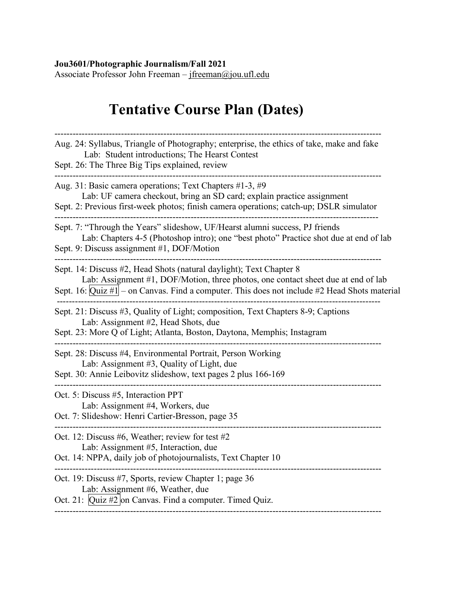#### **Jou3601/Photographic Journalism/Fall 2021**

Associate Professor John Freeman – [jfreeman@jou.ufl.edu](mailto:jfreeman@jou.ufl.edu)

## **Tentative Course Plan (Dates)**

| Aug. 24: Syllabus, Triangle of Photography; enterprise, the ethics of take, make and fake<br>Lab: Student introductions; The Hearst Contest<br>Sept. 26: The Three Big Tips explained, review                                                              |
|------------------------------------------------------------------------------------------------------------------------------------------------------------------------------------------------------------------------------------------------------------|
| Aug. 31: Basic camera operations; Text Chapters #1-3, #9<br>Lab: UF camera checkout, bring an SD card; explain practice assignment<br>Sept. 2: Previous first-week photos; finish camera operations; catch-up; DSLR simulator                              |
| Sept. 7: "Through the Years" slideshow, UF/Hearst alumni success, PJ friends<br>Lab: Chapters 4-5 (Photoshop intro); one "best photo" Practice shot due at end of lab<br>Sept. 9: Discuss assignment #1, DOF/Motion                                        |
| Sept. 14: Discuss #2, Head Shots (natural daylight); Text Chapter 8<br>Lab: Assignment #1, DOF/Motion, three photos, one contact sheet due at end of lab<br>Sept. 16: $Quiz #1$ – on Canvas. Find a computer. This does not include #2 Head Shots material |
| Sept. 21: Discuss #3, Quality of Light; composition, Text Chapters 8-9; Captions<br>Lab: Assignment #2, Head Shots, due<br>Sept. 23: More Q of Light; Atlanta, Boston, Daytona, Memphis; Instagram                                                         |
| Sept. 28: Discuss #4, Environmental Portrait, Person Working<br>Lab: Assignment #3, Quality of Light, due<br>Sept. 30: Annie Leibovitz slideshow, text pages 2 plus 166-169                                                                                |
| Oct. 5: Discuss #5, Interaction PPT<br>Lab: Assignment #4, Workers, due<br>Oct. 7: Slideshow: Henri Cartier-Bresson, page 35                                                                                                                               |
| Oct. 12: Discuss #6, Weather; review for test #2<br>Lab: Assignment #5, Interaction, due<br>Oct. 14: NPPA, daily job of photojournalists, Text Chapter 10                                                                                                  |
| Oct. 19: Discuss #7, Sports, review Chapter 1; page 36<br>Lab: Assignment #6, Weather, due<br>Oct. 21: Quiz #2 on Canvas. Find a computer. Timed Quiz.                                                                                                     |
|                                                                                                                                                                                                                                                            |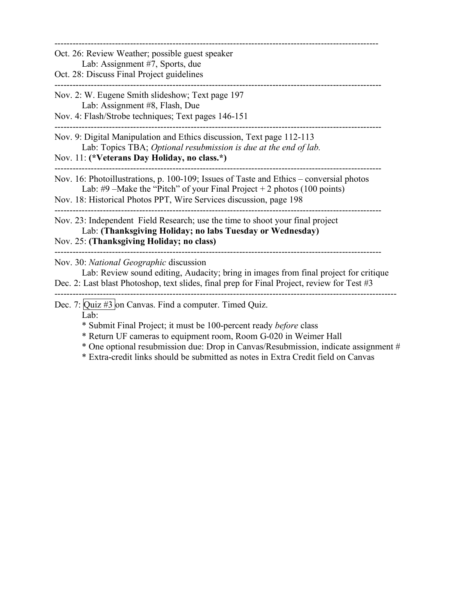| Oct. 26: Review Weather; possible guest speaker<br>Lab: Assignment #7, Sports, due<br>Oct. 28: Discuss Final Project guidelines                                                                                                                                                                        |  |
|--------------------------------------------------------------------------------------------------------------------------------------------------------------------------------------------------------------------------------------------------------------------------------------------------------|--|
| Nov. 2: W. Eugene Smith slideshow; Text page 197<br>Lab: Assignment #8, Flash, Due<br>Nov. 4: Flash/Strobe techniques; Text pages 146-151                                                                                                                                                              |  |
| Nov. 9: Digital Manipulation and Ethics discussion, Text page 112-113<br>Lab: Topics TBA; Optional resubmission is due at the end of lab.<br>Nov. 11: (*Veterans Day Holiday, no class.*)                                                                                                              |  |
| Nov. 16: Photoillustrations, p. 100-109; Issues of Taste and Ethics – conversial photos<br>Lab: #9 – Make the "Pitch" of your Final Project + 2 photos (100 points)<br>Nov. 18: Historical Photos PPT, Wire Services discussion, page 198                                                              |  |
| Nov. 23: Independent Field Research; use the time to shoot your final project<br>Lab: (Thanksgiving Holiday; no labs Tuesday or Wednesday)<br>Nov. 25: (Thanksgiving Holiday; no class)                                                                                                                |  |
| Nov. 30: National Geographic discussion<br>Lab: Review sound editing, Audacity; bring in images from final project for critique<br>Dec. 2: Last blast Photoshop, text slides, final prep for Final Project, review for Test #3                                                                         |  |
| Dec. 7: Quiz #3 on Canvas. Find a computer. Timed Quiz.<br>Lab:<br>* Submit Final Project; it must be 100-percent ready <i>before</i> class<br>* Return UF cameras to equipment room, Room G-020 in Weimer Hall<br>* One optional resubmission due: Drop in Canvas/Resubmission, indicate assignment # |  |

\* Extra-credit links should be submitted as notes in Extra Credit field on Canvas